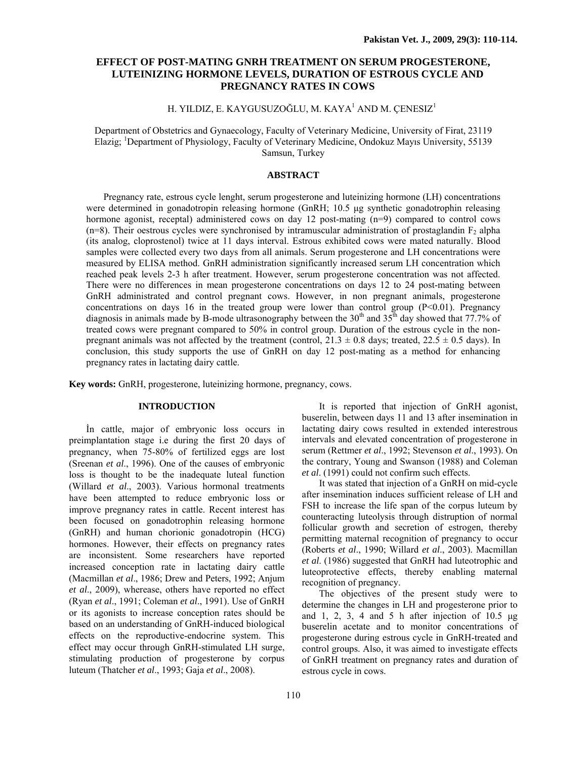# **EFFECT OF POST-MATING GNRH TREATMENT ON SERUM PROGESTERONE, LUTEINIZING HORMONE LEVELS, DURATION OF ESTROUS CYCLE AND PREGNANCY RATES IN COWS**

# H. YILDIZ, E. KAYGUSUZOĞLU, M. KAYA $^{\rm l}$  AND M. ÇENESIZ $^{\rm l}$

Department of Obstetrics and Gynaecology, Faculty of Veterinary Medicine, University of Firat, 23119 Elazig; <sup>1</sup>Department of Physiology, Faculty of Veterinary Medicine, Ondokuz Mayıs University, 55139 Samsun, Turkey

# **ABSTRACT**

Pregnancy rate, estrous cycle lenght, serum progesterone and luteinizing hormone (LH) concentrations were determined in gonadotropin releasing hormone (GnRH; 10.5 µg synthetic gonadotrophin releasing hormone agonist, receptal) administered cows on day 12 post-mating (n=9) compared to control cows  $(n=8)$ . Their oestrous cycles were synchronised by intramuscular administration of prostaglandin  $F_2$  alpha (its analog, cloprostenol) twice at 11 days interval. Estrous exhibited cows were mated naturally. Blood samples were collected every two days from all animals. Serum progesterone and LH concentrations were measured by ELISA method. GnRH administration significantly increased serum LH concentration which reached peak levels 2-3 h after treatment. However, serum progesterone concentration was not affected. There were no differences in mean progesterone concentrations on days 12 to 24 post-mating between GnRH administrated and control pregnant cows. However, in non pregnant animals, progesterone concentrations on days 16 in the treated group were lower than control group  $(P<0.01)$ . Pregnancy diagnosis in animals made by B-mode ultrasonography between the  $30<sup>th</sup>$  and  $35<sup>th</sup>$  day showed that 77.7% of treated cows were pregnant compared to 50% in control group. Duration of the estrous cycle in the nonpregnant animals was not affected by the treatment (control,  $21.3 \pm 0.8$  days; treated,  $22.5 \pm 0.5$  days). In conclusion, this study supports the use of GnRH on day 12 post-mating as a method for enhancing pregnancy rates in lactating dairy cattle.

**Key words:** GnRH, progesterone, luteinizing hormone, pregnancy, cows.

# **INTRODUCTION**

İn cattle, major of embryonic loss occurs in preimplantation stage i.e during the first 20 days of pregnancy, when 75-80% of fertilized eggs are lost (Sreenan *et al*., 1996). One of the causes of embryonic loss is thought to be the inadequate luteal function (Willard *et al*., 2003). Various hormonal treatments have been attempted to reduce embryonic loss or improve pregnancy rates in cattle. Recent interest has been focused on gonadotrophin releasing hormone (GnRH) and human chorionic gonadotropin (HCG) hormones. However, their effects on pregnancy rates are inconsistent. Some researchers have reported increased conception rate in lactating dairy cattle (Macmillan *et al*., 1986; Drew and Peters, 1992; Anjum *et al*., 2009), wherease, others have reported no effect (Ryan *et al*., 1991; Coleman *et al*., 1991). Use of GnRH or its agonists to increase conception rates should be based on an understanding of GnRH-induced biological effects on the reproductive-endocrine system. This effect may occur through GnRH-stimulated LH surge, stimulating production of progesterone by corpus luteum (Thatcher *et al*., 1993; Gaja *et al*., 2008).

It is reported that injection of GnRH agonist, buserelin, between days 11 and 13 after insemination in lactating dairy cows resulted in extended interestrous intervals and elevated concentration of progesterone in serum (Rettmer *et al*., 1992; Stevenson *et al*., 1993). On the contrary, Young and Swanson (1988) and Coleman *et al*. (1991) could not confirm such effects.

It was stated that injection of a GnRH on mid-cycle after insemination induces sufficient release of LH and FSH to increase the life span of the corpus luteum by counteracting luteolysis through distruption of normal follicular growth and secretion of estrogen, thereby permitting maternal recognition of pregnancy to occur (Roberts *et al*., 1990; Willard *et al*., 2003). Macmillan *et al*. (1986) suggested that GnRH had luteotrophic and luteoprotective effects, thereby enabling maternal recognition of pregnancy.

The objectives of the present study were to determine the changes in LH and progesterone prior to and 1, 2, 3, 4 and 5 h after injection of  $10.5 \mu g$ buserelin acetate and to monitor concentrations of progesterone during estrous cycle in GnRH-treated and control groups. Also, it was aimed to investigate effects of GnRH treatment on pregnancy rates and duration of estrous cycle in cows.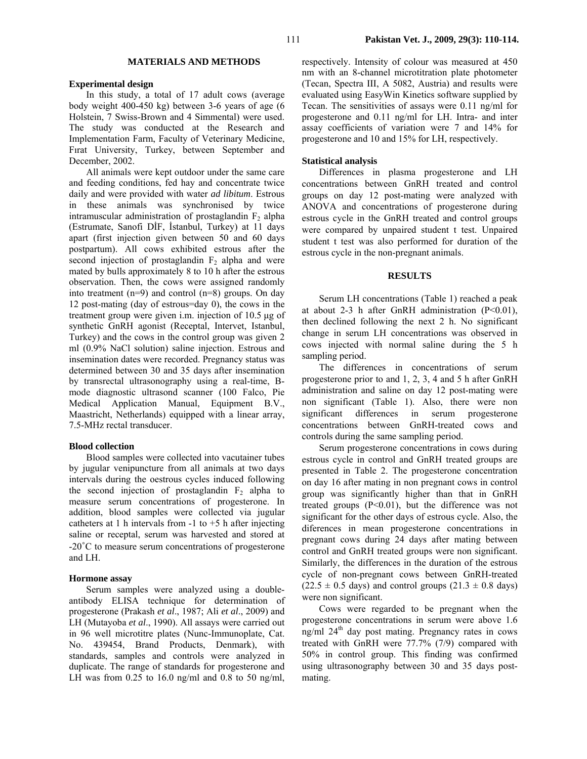# **MATERIALS AND METHODS**

### **Experimental design**

In this study, a total of 17 adult cows (average body weight 400-450 kg) between 3-6 years of age (6 Holstein, 7 Swiss-Brown and 4 Simmental) were used. The study was conducted at the Research and Implementation Farm, Faculty of Veterinary Medicine, Fırat University, Turkey, between September and December, 2002.

All animals were kept outdoor under the same care and feeding conditions, fed hay and concentrate twice daily and were provided with water *ad libitum*. Estrous in these animals was synchronised by twice intramuscular administration of prostaglandin  $F_2$  alpha (Estrumate, Sanofi DİF, İstanbul, Turkey) at 11 days apart (first injection given between 50 and 60 days postpartum). All cows exhibited estrous after the second injection of prostaglandin  $F<sub>2</sub>$  alpha and were mated by bulls approximately 8 to 10 h after the estrous observation. Then, the cows were assigned randomly into treatment  $(n=9)$  and control  $(n=8)$  groups. On day 12 post-mating (day of estrous=day 0), the cows in the treatment group were given i.m. injection of 10.5 µg of synthetic GnRH agonist (Receptal, Intervet, Istanbul, Turkey) and the cows in the control group was given 2 ml (0.9% NaCl solution) saline injection. Estrous and insemination dates were recorded. Pregnancy status was determined between 30 and 35 days after insemination by transrectal ultrasonography using a real-time, Bmode diagnostic ultrasond scanner (100 Falco, Pie Medical Application Manual, Equipment B.V., Maastricht, Netherlands) equipped with a linear array, 7.5-MHz rectal transducer.

#### **Blood collection**

Blood samples were collected into vacutainer tubes by jugular venipuncture from all animals at two days intervals during the oestrous cycles induced following the second injection of prostaglandin  $F_2$  alpha to measure serum concentrations of progesterone. In addition, blood samples were collected via jugular catheters at 1 h intervals from  $-1$  to  $+5$  h after injecting saline or receptal, serum was harvested and stored at -20˚C to measure serum concentrations of progesterone and LH.

### **Hormone assay**

Serum samples were analyzed using a doubleantibody ELISA technique for determination of progesterone (Prakash *et al*., 1987; Ali *et al*., 2009) and LH (Mutayoba *et al*., 1990). All assays were carried out in 96 well microtitre plates (Nunc-Immunoplate, Cat. No. 439454, Brand Products, Denmark), with standards, samples and controls were analyzed in duplicate. The range of standards for progesterone and LH was from  $0.25$  to 16.0 ng/ml and 0.8 to 50 ng/ml,

respectively. Intensity of colour was measured at 450 nm with an 8-channel microtitration plate photometer (Tecan, Spectra III, A 5082, Austria) and results were evaluated using EasyWin Kinetics software supplied by Tecan. The sensitivities of assays were 0.11 ng/ml for progesterone and 0.11 ng/ml for LH. Intra- and inter assay coefficients of variation were 7 and 14% for progesterone and 10 and 15% for LH, respectively.

### **Statistical analysis**

Differences in plasma progesterone and LH concentrations between GnRH treated and control groups on day 12 post-mating were analyzed with ANOVA and concentrations of progesterone during estrous cycle in the GnRH treated and control groups were compared by unpaired student t test. Unpaired student t test was also performed for duration of the estrous cycle in the non-pregnant animals.

#### **RESULTS**

Serum LH concentrations (Table 1) reached a peak at about 2-3 h after GnRH administration  $(P<0.01)$ , then declined following the next 2 h. No significant change in serum LH concentrations was observed in cows injected with normal saline during the 5 h sampling period.

The differences in concentrations of serum progesterone prior to and 1, 2, 3, 4 and 5 h after GnRH administration and saline on day 12 post-mating were non significant (Table 1). Also, there were non significant differences in serum progesterone concentrations between GnRH-treated cows and controls during the same sampling period.

Serum progesterone concentrations in cows during estrous cycle in control and GnRH treated groups are presented in Table 2. The progesterone concentration on day 16 after mating in non pregnant cows in control group was significantly higher than that in GnRH treated groups  $(P<0.01)$ , but the difference was not significant for the other days of estrous cycle. Also, the diferences in mean progesterone concentrations in pregnant cows during 24 days after mating between control and GnRH treated groups were non significant. Similarly, the differences in the duration of the estrous cycle of non-pregnant cows between GnRH-treated  $(22.5 \pm 0.5$  days) and control groups  $(21.3 \pm 0.8$  days) were non significant.

Cows were regarded to be pregnant when the progesterone concentrations in serum were above 1.6 ng/ml 24th day post mating. Pregnancy rates in cows treated with GnRH were 77.7% (7/9) compared with 50% in control group. This finding was confirmed using ultrasonography between 30 and 35 days postmating.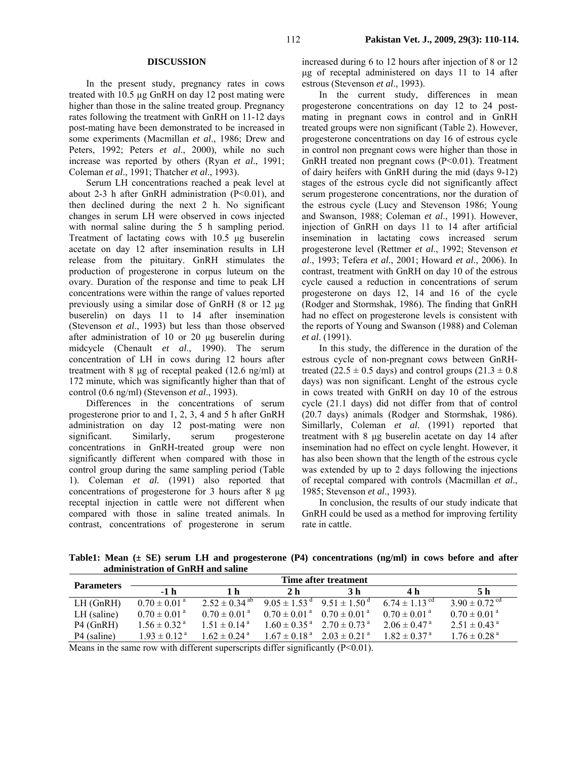## **DISCUSSION**

In the present study, pregnancy rates in cows treated with 10.5 µg GnRH on day 12 post mating were higher than those in the saline treated group. Pregnancy rates following the treatment with GnRH on 11-12 days post-mating have been demonstrated to be increased in some experiments (Macmillan *et al*., 1986; Drew and Peters, 1992; Peters *et al*., 2000), while no such increase was reported by others (Ryan *et al*., 1991; Coleman *et al*., 1991; Thatcher *et al*., 1993).

Serum LH concentrations reached a peak level at about 2-3 h after GnRH administration  $(P<0.01)$ , and then declined during the next 2 h. No significant changes in serum LH were observed in cows injected with normal saline during the 5 h sampling period. Treatment of lactating cows with 10.5 µg buserelin acetate on day 12 after insemination results in LH release from the pituitary. GnRH stimulates the production of progesterone in corpus luteum on the ovary. Duration of the response and time to peak LH concentrations were within the range of values reported previously using a similar dose of GnRH (8 or 12 µg buserelin) on days 11 to 14 after insemination (Stevenson *et al*., 1993) but less than those observed after administration of 10 or 20 µg buserelin during midcycle (Chenault *et al*., 1990). The serum concentration of LH in cows during 12 hours after treatment with 8 µg of receptal peaked (12.6 ng/ml) at 172 minute, which was significantly higher than that of control (0.6 ng/ml) (Stevenson *et al*., 1993).

Differences in the concentrations of serum progesterone prior to and 1, 2, 3, 4 and 5 h after GnRH administration on day 12 post-mating were non significant. Similarly, serum progesterone concentrations in GnRH-treated group were non significantly different when compared with those in control group during the same sampling period (Table 1). Coleman *et al*. (1991) also reported that concentrations of progesterone for 3 hours after 8 µg receptal injection in cattle were not different when compared with those in saline treated animals. In contrast, concentrations of progesterone in serum increased during 6 to 12 hours after injection of 8 or 12 µg of receptal administered on days 11 to 14 after estrous (Stevenson *et al*., 1993).

In the current study, differences in mean progesterone concentrations on day 12 to 24 postmating in pregnant cows in control and in GnRH treated groups were non significant (Table 2). However, progesterone concentrations on day 16 of estrous cycle in control non pregnant cows were higher than those in GnRH treated non pregnant cows (P<0.01). Treatment of dairy heifers with GnRH during the mid (days 9-12) stages of the estrous cycle did not significantly affect serum progesterone concentrations, nor the duration of the estrous cycle (Lucy and Stevenson 1986; Young and Swanson, 1988; Coleman *et al*., 1991). However, injection of GnRH on days 11 to 14 after artificial insemination in lactating cows increased serum progesterone level (Rettmer *et al*., 1992; Stevenson *et al*., 1993; Tefera *et al*., 2001; Howard *et al*., 2006). In contrast, treatment with GnRH on day 10 of the estrous cycle caused a reduction in concentrations of serum progesterone on days 12, 14 and 16 of the cycle (Rodger and Stormshak, 1986). The finding that GnRH had no effect on progesterone levels is consistent with the reports of Young and Swanson (1988) and Coleman *et al*. (1991).

In this study, the difference in the duration of the estrous cycle of non-pregnant cows between GnRHtreated (22.5  $\pm$  0.5 days) and control groups (21.3  $\pm$  0.8 days) was non significant. Lenght of the estrous cycle in cows treated with GnRH on day 10 of the estrous cycle (21.1 days) did not differ from that of control (20.7 days) animals (Rodger and Stormshak, 1986). Simillarly, Coleman *et al*. (1991) reported that treatment with 8 µg buserelin acetate on day 14 after insemination had no effect on cycle lenght. However, it has also been shown that the length of the estrous cycle was extended by up to 2 days following the injections of receptal compared with controls (Macmillan *et al*., 1985; Stevenson *et al*., 1993).

In conclusion, the results of our study indicate that GnRH could be used as a method for improving fertility rate in cattle.

**Table1: Mean (± SE) serum LH and progesterone (P4) concentrations (ng/ml) in cows before and after administration of GnRH and saline** 

|                         | Time after treatment         |                               |                              |                                                         |                               |                               |  |
|-------------------------|------------------------------|-------------------------------|------------------------------|---------------------------------------------------------|-------------------------------|-------------------------------|--|
| <b>Parameters</b>       | $-1h$                        | 1 h                           | 2 <sub>h</sub>               | 3 h                                                     | 4 h                           | 5 h                           |  |
| $LH$ (GnRH)             | $0.70 \pm 0.01$ <sup>a</sup> | $2.52 \pm 0.34$ <sup>ab</sup> |                              | $9.05 \pm 1.53^{\text{ d}}$ $9.51 \pm 1.50^{\text{ d}}$ | 6.74 $\pm$ 1.13 <sup>cd</sup> | $3.90 \pm 0.72$ <sup>cd</sup> |  |
| $LH$ (saline)           | $0.70 \pm 0.01^{\text{ a}}$  | $0.70 \pm 0.01^{\text{ a}}$   |                              | $0.70 \pm 0.01^{\text{ a}}$ $0.70 \pm 0.01^{\text{ a}}$ | $0.70 \pm 0.01$ <sup>a</sup>  | $0.70 \pm 0.01$ <sup>a</sup>  |  |
| $P4$ (GnRH)             | $1.56 \pm 0.32$ <sup>a</sup> | $1.51 \pm 0.14^{\text{a}}$    |                              | $1.60 \pm 0.35^{\text{ a}}$ $2.70 \pm 0.73^{\text{ a}}$ | $2.06 \pm 0.47^{\text{ a}}$   | $2.51 \pm 0.43$ <sup>a</sup>  |  |
| P <sub>4</sub> (saline) | $1.93 \pm 0.12^{\text{a}}$   | $1.62 \pm 0.24$ <sup>a</sup>  | $1.67 \pm 0.18$ <sup>a</sup> | $2.03 \pm 0.21$ <sup>a</sup>                            | $1.82 \pm 0.37$ <sup>a</sup>  | $1.76 \pm 0.28$ <sup>a</sup>  |  |

Means in the same row with different superscripts differ significantly  $(P<0.01)$ .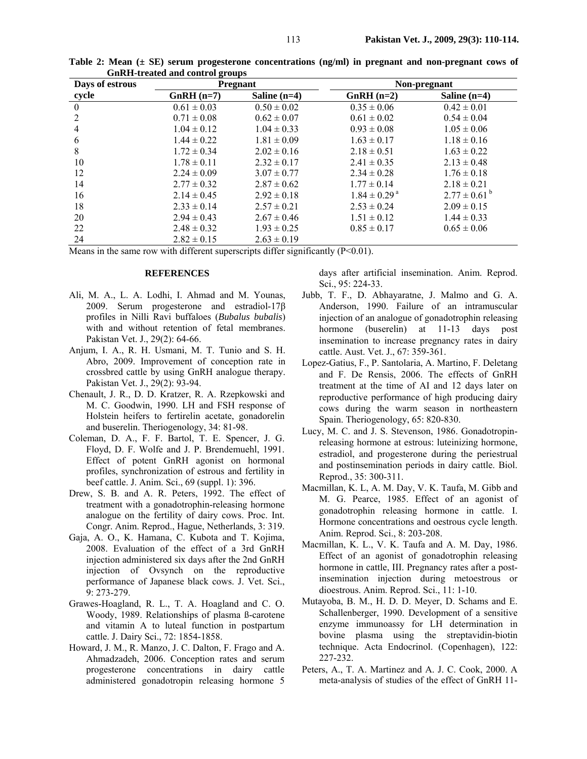| Days of estrous |                 | <b>Pregnant</b> | Non-pregnant                 |                             |  |
|-----------------|-----------------|-----------------|------------------------------|-----------------------------|--|
| cycle           | $GnRH$ (n=7)    | Saline $(n=4)$  | $GnRH$ (n=2)                 | Saline $(n=4)$              |  |
| $\mathbf{0}$    | $0.61 \pm 0.03$ | $0.50 \pm 0.02$ | $0.35 \pm 0.06$              | $0.42 \pm 0.01$             |  |
| 2               | $0.71 \pm 0.08$ | $0.62 \pm 0.07$ | $0.61 \pm 0.02$              | $0.54 \pm 0.04$             |  |
| 4               | $1.04 \pm 0.12$ | $1.04 \pm 0.33$ | $0.93 \pm 0.08$              | $1.05 \pm 0.06$             |  |
| 6               | $1.44 \pm 0.22$ | $1.81 \pm 0.09$ | $1.63 \pm 0.17$              | $1.18 \pm 0.16$             |  |
| 8               | $1.72 \pm 0.34$ | $2.02 \pm 0.16$ | $2.18 \pm 0.51$              | $1.63 \pm 0.22$             |  |
| 10              | $1.78 \pm 0.11$ | $2.32 \pm 0.17$ | $2.41 \pm 0.35$              | $2.13 \pm 0.48$             |  |
| 12              | $2.24 \pm 0.09$ | $3.07 \pm 0.77$ | $2.34 \pm 0.28$              | $1.76 \pm 0.18$             |  |
| 14              | $2.77 \pm 0.32$ | $2.87 \pm 0.62$ | $1.77 \pm 0.14$              | $2.18 \pm 0.21$             |  |
| 16              | $2.14 \pm 0.45$ | $2.92 \pm 0.18$ | $1.84 \pm 0.29$ <sup>a</sup> | $2.77 \pm 0.61^{\text{ b}}$ |  |
| 18              | $2.33 \pm 0.14$ | $2.57 \pm 0.21$ | $2.53 \pm 0.24$              | $2.09 \pm 0.15$             |  |
| 20              | $2.94 \pm 0.43$ | $2.67 \pm 0.46$ | $1.51 \pm 0.12$              | $1.44 \pm 0.33$             |  |
| 22              | $2.48 \pm 0.32$ | $1.93 \pm 0.25$ | $0.85 \pm 0.17$              | $0.65 \pm 0.06$             |  |
| 24              | $2.82 \pm 0.15$ | $2.63 \pm 0.19$ |                              |                             |  |

**Table 2: Mean (± SE) serum progesterone concentrations (ng/ml) in pregnant and non-pregnant cows of GnRH-treated and control groups** 

Means in the same row with different superscripts differ significantly  $(P<0.01)$ .

### **REFERENCES**

- Ali, M. A., L. A. Lodhi, I. Ahmad and M. Younas, 2009. Serum progesterone and estradiol-17β profiles in Nilli Ravi buffaloes (*Bubalus bubalis*) with and without retention of fetal membranes. Pakistan Vet. J., 29(2): 64-66.
- Anjum, I. A., R. H. Usmani, M. T. Tunio and S. H. Abro, 2009. Improvement of conception rate in crossbred cattle by using GnRH analogue therapy. Pakistan Vet. J., 29(2): 93-94.
- Chenault, J. R., D. D. Kratzer, R. A. Rzepkowski and M. C. Goodwin, 1990. LH and FSH response of Holstein heifers to fertirelin acetate, gonadorelin and buserelin. Theriogenology, 34: 81-98.
- Coleman, D. A., F. F. Bartol, T. E. Spencer, J. G. Floyd, D. F. Wolfe and J. P. Brendemuehl, 1991. Effect of potent GnRH agonist on hormonal profiles, synchronization of estrous and fertility in beef cattle. J. Anim. Sci., 69 (suppl. 1): 396.
- Drew, S. B. and A. R. Peters, 1992. The effect of treatment with a gonadotrophin-releasing hormone analogue on the fertility of dairy cows. Proc. Int. Congr. Anim. Reprod., Hague, Netherlands, 3: 319.
- Gaja, A. O., K. Hamana, C. Kubota and T. Kojima, 2008. Evaluation of the effect of a 3rd GnRH injection administered six days after the 2nd GnRH injection of Ovsynch on the reproductive performance of Japanese black cows. J. Vet. Sci., 9: 273-279.
- Grawes-Hoagland, R. L., T. A. Hoagland and C. O. Woody, 1989. Relationships of plasma ß-carotene and vitamin A to luteal function in postpartum cattle. J. Dairy Sci., 72: 1854-1858.
- Howard, J. M., R. Manzo, J. C. Dalton, F. Frago and A. Ahmadzadeh, 2006. Conception rates and serum progesterone concentrations in dairy cattle administered gonadotropin releasing hormone 5

days after artificial insemination. Anim. Reprod. Sci., 95: 224-33.

- Jubb, T. F., D. Abhayaratne, J. Malmo and G. A. Anderson, 1990. Failure of an intramuscular injection of an analogue of gonadotrophin releasing hormone (buserelin) at 11-13 days post insemination to increase pregnancy rates in dairy cattle. Aust. Vet. J., 67: 359-361.
- Lopez-Gatius, F., P. Santolaria, A. Martino, F. Deletang and F. De Rensis, 2006. The effects of GnRH treatment at the time of AI and 12 days later on reproductive performance of high producing dairy cows during the warm season in northeastern Spain. Theriogenology, 65: 820-830.
- Lucy, M. C. and J. S. Stevenson, 1986. Gonadotropinreleasing hormone at estrous: luteinizing hormone, estradiol, and progesterone during the periestrual and postinsemination periods in dairy cattle. Biol. Reprod., 35: 300-311.
- Macmillan, K. L, A. M. Day, V. K. Taufa, M. Gibb and M. G. Pearce, 1985. Effect of an agonist of gonadotrophin releasing hormone in cattle. I. Hormone concentrations and oestrous cycle length. Anim. Reprod. Sci., 8: 203-208.
- Macmillan, K. L., V. K. Taufa and A. M. Day, 1986. Effect of an agonist of gonadotrophin releasing hormone in cattle, III. Pregnancy rates after a postinsemination injection during metoestrous or dioestrous. Anim. Reprod. Sci., 11: 1-10.
- Mutayoba, B. M., H. D. D. Meyer, D. Schams and E. Schallenberger, 1990. Development of a sensitive enzyme immunoassy for LH determination in bovine plasma using the streptavidin-biotin technique. Acta Endocrinol. (Copenhagen), 122: 227-232.
- Peters, A., T. A. Martinez and A. J. C. Cook, 2000. A meta-analysis of studies of the effect of GnRH 11-